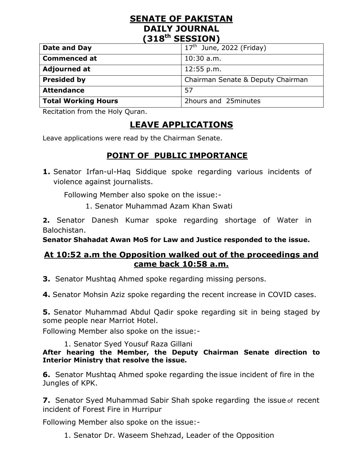## **SENATE OF PAKISTAN DAILY JOURNAL (318th SESSION)**

| Date and Day               | $17th$ June, 2022 (Friday)        |
|----------------------------|-----------------------------------|
| <b>Commenced at</b>        | $10:30$ a.m.                      |
| <b>Adjourned at</b>        | 12:55 p.m.                        |
| <b>Presided by</b>         | Chairman Senate & Deputy Chairman |
| <b>Attendance</b>          | .57                               |
| <b>Total Working Hours</b> | 2hours and 25minutes              |

Recitation from the Holy Quran.

# **LEAVE APPLICATIONS**

Leave applications were read by the Chairman Senate.

## **POINT OF PUBLIC IMPORTANCE**

**1.** Senator Irfan-ul-Haq Siddique spoke regarding various incidents of violence against journalists.

Following Member also spoke on the issue:-

1. Senator Muhammad Azam Khan Swati

**2.** Senator Danesh Kumar spoke regarding shortage of Water in Balochistan.

**Senator Shahadat Awan MoS for Law and Justice responded to the issue.**

## **At 10:52 a.m the Opposition walked out of the proceedings and came back 10:58 a.m.**

**3.** Senator Mushtaq Ahmed spoke regarding missing persons.

**4.** Senator Mohsin Aziz spoke regarding the recent increase in COVID cases.

**5.** Senator Muhammad Abdul Qadir spoke regarding sit in being staged by some people near Marriot Hotel.

Following Member also spoke on the issue:-

1. Senator Syed Yousuf Raza Gillani

#### **After hearing the Member, the Deputy Chairman Senate direction to Interior Ministry that resolve the issue.**

**6.** Senator Mushtaq Ahmed spoke regarding the issue incident of fire in the Jungles of KPK.

**7.** Senator Syed Muhammad Sabir Shah spoke regarding the issue of recent incident of Forest Fire in Hurripur

Following Member also spoke on the issue:-

1. Senator Dr. Waseem Shehzad, Leader of the Opposition